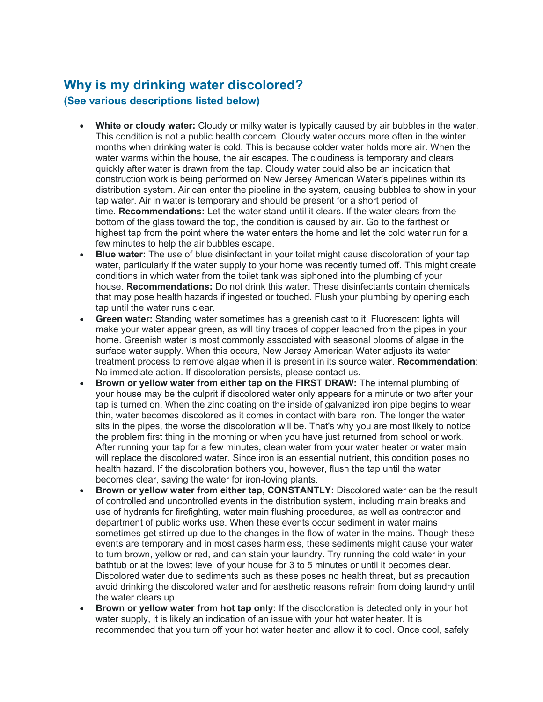# **Why is my drinking water discolored? (See various descriptions listed below)**

- **White or cloudy water:** Cloudy or milky water is typically caused by air bubbles in the water. This condition is not a public health concern. Cloudy water occurs more often in the winter months when drinking water is cold. This is because colder water holds more air. When the water warms within the house, the air escapes. The cloudiness is temporary and clears quickly after water is drawn from the tap. Cloudy water could also be an indication that construction work is being performed on New Jersey American Water's pipelines within its distribution system. Air can enter the pipeline in the system, causing bubbles to show in your tap water. Air in water is temporary and should be present for a short period of time. **Recommendations:** Let the water stand until it clears. If the water clears from the bottom of the glass toward the top, the condition is caused by air. Go to the farthest or highest tap from the point where the water enters the home and let the cold water run for a few minutes to help the air bubbles escape.
- **Blue water:** The use of blue disinfectant in your toilet might cause discoloration of your tap water, particularly if the water supply to your home was recently turned off. This might create conditions in which water from the toilet tank was siphoned into the plumbing of your house. **Recommendations:** Do not drink this water. These disinfectants contain chemicals that may pose health hazards if ingested or touched. Flush your plumbing by opening each tap until the water runs clear.
- **Green water:** Standing water sometimes has a greenish cast to it. Fluorescent lights will make your water appear green, as will tiny traces of copper leached from the pipes in your home. Greenish water is most commonly associated with seasonal blooms of algae in the surface water supply. When this occurs, New Jersey American Water adjusts its water treatment process to remove algae when it is present in its source water. **Recommendation**: No immediate action. If discoloration persists, please contact us.
- **Brown or yellow water from either tap on the FIRST DRAW:** The internal plumbing of your house may be the culprit if discolored water only appears for a minute or two after your tap is turned on. When the zinc coating on the inside of galvanized iron pipe begins to wear thin, water becomes discolored as it comes in contact with bare iron. The longer the water sits in the pipes, the worse the discoloration will be. That's why you are most likely to notice the problem first thing in the morning or when you have just returned from school or work. After running your tap for a few minutes, clean water from your water heater or water main will replace the discolored water. Since iron is an essential nutrient, this condition poses no health hazard. If the discoloration bothers you, however, flush the tap until the water becomes clear, saving the water for iron-loving plants.
- **Brown or yellow water from either tap, CONSTANTLY:** Discolored water can be the result of controlled and uncontrolled events in the distribution system, including main breaks and use of hydrants for firefighting, water main flushing procedures, as well as contractor and department of public works use. When these events occur sediment in water mains sometimes get stirred up due to the changes in the flow of water in the mains. Though these events are temporary and in most cases harmless, these sediments might cause your water to turn brown, yellow or red, and can stain your laundry. Try running the cold water in your bathtub or at the lowest level of your house for 3 to 5 minutes or until it becomes clear. Discolored water due to sediments such as these poses no health threat, but as precaution avoid drinking the discolored water and for aesthetic reasons refrain from doing laundry until the water clears up.
- **Brown or yellow water from hot tap only:** If the discoloration is detected only in your hot water supply, it is likely an indication of an issue with your hot water heater. It is recommended that you turn off your hot water heater and allow it to cool. Once cool, safely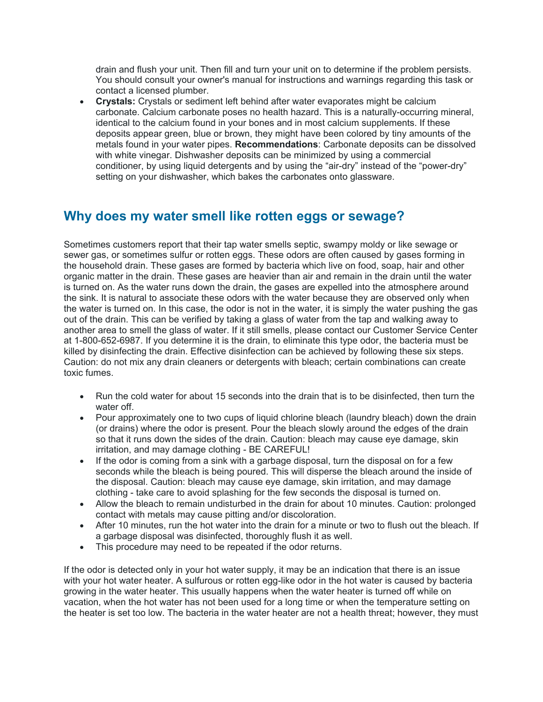drain and flush your unit. Then fill and turn your unit on to determine if the problem persists. You should consult your owner's manual for instructions and warnings regarding this task or contact a licensed plumber.

• **Crystals:** Crystals or sediment left behind after water evaporates might be calcium carbonate. Calcium carbonate poses no health hazard. This is a naturally-occurring mineral, identical to the calcium found in your bones and in most calcium supplements. If these deposits appear green, blue or brown, they might have been colored by tiny amounts of the metals found in your water pipes. **Recommendations**: Carbonate deposits can be dissolved with white vinegar. Dishwasher deposits can be minimized by using a commercial conditioner, by using liquid detergents and by using the "air-dry" instead of the "power-dry" setting on your dishwasher, which bakes the carbonates onto glassware.

## **Why does my water smell like rotten eggs or sewage?**

Sometimes customers report that their tap water smells septic, swampy moldy or like sewage or sewer gas, or sometimes sulfur or rotten eggs. These odors are often caused by gases forming in the household drain. These gases are formed by bacteria which live on food, soap, hair and other organic matter in the drain. These gases are heavier than air and remain in the drain until the water is turned on. As the water runs down the drain, the gases are expelled into the atmosphere around the sink. It is natural to associate these odors with the water because they are observed only when the water is turned on. In this case, the odor is not in the water, it is simply the water pushing the gas out of the drain. This can be verified by taking a glass of water from the tap and walking away to another area to smell the glass of water. If it still smells, please contact our Customer Service Center at 1-800-652-6987. If you determine it is the drain, to eliminate this type odor, the bacteria must be killed by disinfecting the drain. Effective disinfection can be achieved by following these six steps. Caution: do not mix any drain cleaners or detergents with bleach; certain combinations can create toxic fumes.

- Run the cold water for about 15 seconds into the drain that is to be disinfected, then turn the water off.
- Pour approximately one to two cups of liquid chlorine bleach (laundry bleach) down the drain (or drains) where the odor is present. Pour the bleach slowly around the edges of the drain so that it runs down the sides of the drain. Caution: bleach may cause eye damage, skin irritation, and may damage clothing - BE CAREFUL!
- If the odor is coming from a sink with a garbage disposal, turn the disposal on for a few seconds while the bleach is being poured. This will disperse the bleach around the inside of the disposal. Caution: bleach may cause eye damage, skin irritation, and may damage clothing - take care to avoid splashing for the few seconds the disposal is turned on.
- Allow the bleach to remain undisturbed in the drain for about 10 minutes. Caution: prolonged contact with metals may cause pitting and/or discoloration.
- After 10 minutes, run the hot water into the drain for a minute or two to flush out the bleach. If a garbage disposal was disinfected, thoroughly flush it as well.
- This procedure may need to be repeated if the odor returns.

If the odor is detected only in your hot water supply, it may be an indication that there is an issue with your hot water heater. A sulfurous or rotten egg-like odor in the hot water is caused by bacteria growing in the water heater. This usually happens when the water heater is turned off while on vacation, when the hot water has not been used for a long time or when the temperature setting on the heater is set too low. The bacteria in the water heater are not a health threat; however, they must